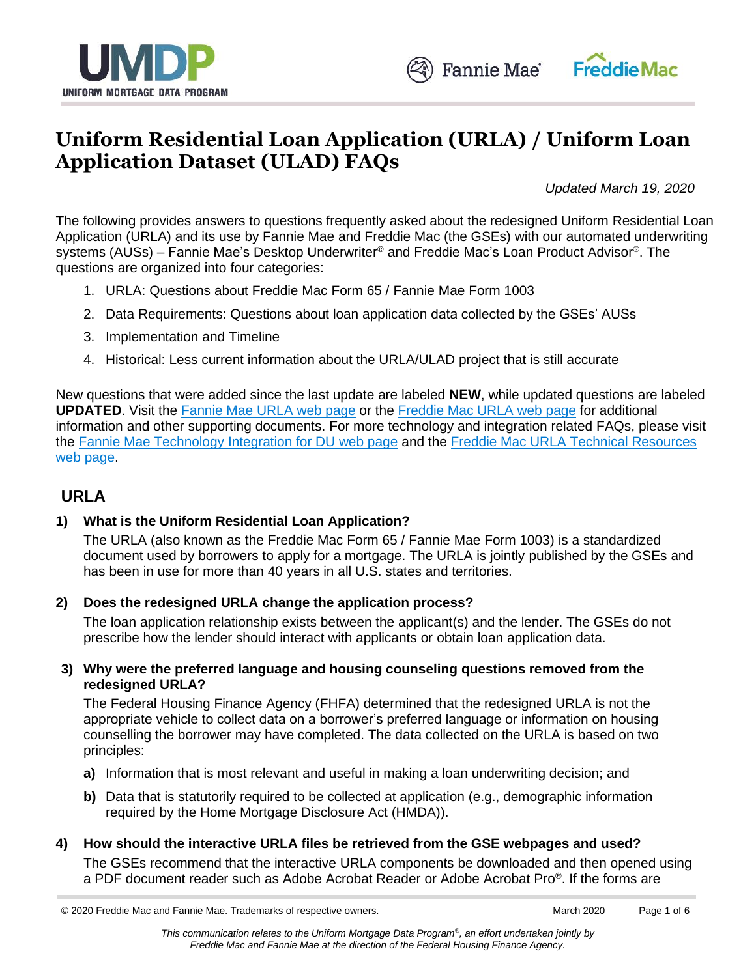



# **Uniform Residential Loan Application (URLA) / Uniform Loan Application Dataset (ULAD) FAQs**

*Updated March 19, 2020*

The following provides answers to questions frequently asked about the redesigned Uniform Residential Loan Application (URLA) and its use by Fannie Mae and Freddie Mac (the GSEs) with our automated underwriting systems (AUSs) – Fannie Mae's Desktop Underwriter® and Freddie Mac's Loan Product Advisor®. The questions are organized into four categories:

- 1. URLA: Questions about Freddie Mac Form 65 / Fannie Mae Form 1003
- 2. Data Requirements: Questions about loan application data collected by the GSEs' AUSs
- 3. Implementation and Timeline
- 4. Historical: Less current information about the URLA/ULAD project that is still accurate

New questions that were added since the last update are labeled **NEW**, while updated questions are labeled **UPDATED**. Visit the Fannie Mae [URLA web page](https://www.fanniemae.com/singlefamily/uniform-residential-loan-application) or the [Freddie Mac](https://sf.freddiemac.com/tools-learning/uniform-mortgage-data-program/ulad) URLA web page for additional information and other supporting documents. For more technology and integration related FAQs, please visit the [Fannie Mae Technology Integration for DU web page](https://www.fanniemae.com/singlefamily/technology-integration?taskId=task-97) and the [Freddie Mac URLA Technical Resources](https://sf.freddiemac.com/tools-learning/uniform-mortgage-data-program/ulad#technical-resources)  [web page.](https://sf.freddiemac.com/tools-learning/uniform-mortgage-data-program/ulad#technical-resources)

## **URLA**

## **1) What is the Uniform Residential Loan Application?**

The URLA (also known as the Freddie Mac Form 65 / Fannie Mae Form 1003) is a standardized document used by borrowers to apply for a mortgage. The URLA is jointly published by the GSEs and has been in use for more than 40 years in all U.S. states and territories.

#### **2) Does the redesigned URLA change the application process?**

The loan application relationship exists between the applicant(s) and the lender. The GSEs do not prescribe how the lender should interact with applicants or obtain loan application data.

#### **3) Why were the preferred language and housing counseling questions removed from the redesigned URLA?**

The Federal Housing Finance Agency (FHFA) determined that the redesigned URLA is not the appropriate vehicle to collect data on a borrower's preferred language or information on housing counselling the borrower may have completed. The data collected on the URLA is based on two principles:

- **a)** Information that is most relevant and useful in making a loan underwriting decision; and
- **b)** Data that is statutorily required to be collected at application (e.g., demographic information required by the Home Mortgage Disclosure Act (HMDA)).

#### **4) How should the interactive URLA files be retrieved from the GSE webpages and used?**

The GSEs recommend that the interactive URLA components be downloaded and then opened using a PDF document reader such as Adobe Acrobat Reader or Adobe Acrobat Pro® . If the forms are

<sup>© 2020</sup> Freddie Mac and Fannie Mae. Trademarks of respective owners. Macch 2020 Page 1 of 6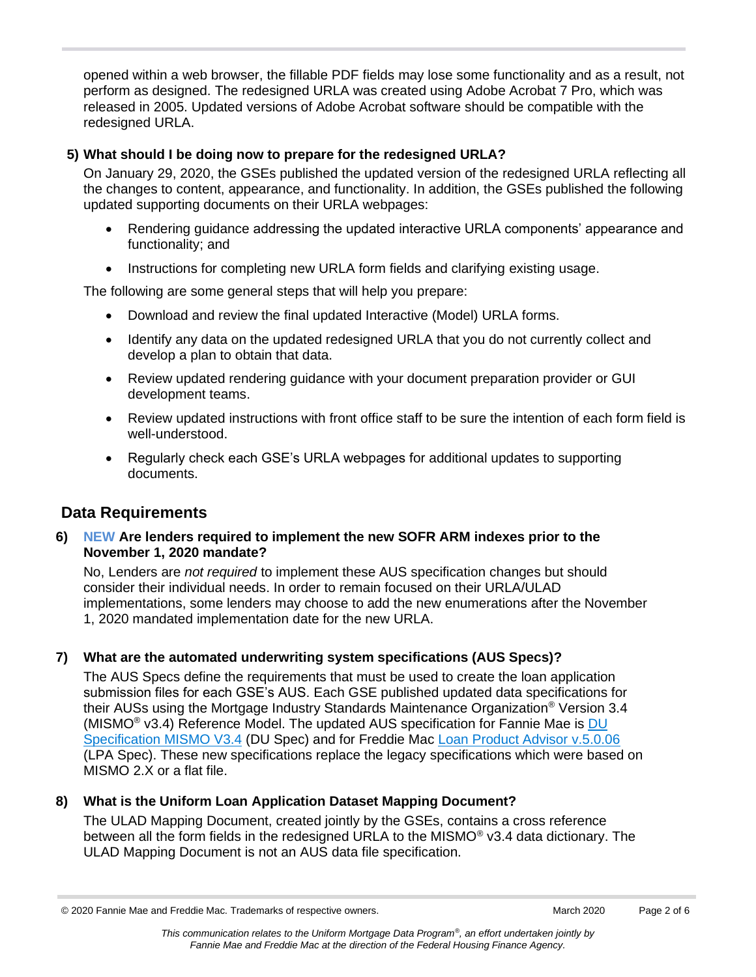opened within a web browser, the fillable PDF fields may lose some functionality and as a result, not perform as designed. The redesigned URLA was created using Adobe Acrobat 7 Pro, which was released in 2005. Updated versions of Adobe Acrobat software should be compatible with the redesigned URLA.

#### **5) What should I be doing now to prepare for the redesigned URLA?**

On January 29, 2020, the GSEs published the updated version of the redesigned URLA reflecting all the changes to content, appearance, and functionality. In addition, the GSEs published the following updated supporting documents on their URLA webpages:

- Rendering guidance addressing the updated interactive URLA components' appearance and functionality; and
- Instructions for completing new URLA form fields and clarifying existing usage.

The following are some general steps that will help you prepare:

- Download and review the final updated Interactive (Model) URLA forms.
- Identify any data on the updated redesigned URLA that you do not currently collect and develop a plan to obtain that data.
- Review updated rendering guidance with your document preparation provider or GUI development teams.
- Review updated instructions with front office staff to be sure the intention of each form field is well-understood.
- Regularly check each GSE's URLA webpages for additional updates to supporting documents.

## **Data Requirements**

#### **6) NEW Are lenders required to implement the new SOFR ARM indexes prior to the November 1, 2020 mandate?**

No, Lenders are *not required* to implement these AUS specification changes but should consider their individual needs. In order to remain focused on their URLA/ULAD implementations, some lenders may choose to add the new enumerations after the November 1, 2020 mandated implementation date for the new URLA.

## **7) What are the automated underwriting system specifications (AUS Specs)?**

The AUS Specs define the requirements that must be used to create the loan application submission files for each GSE's AUS. Each GSE published updated data specifications for their AUSs using the Mortgage Industry Standards Maintenance Organization<sup>®</sup> Version 3.4 (MISMO® v3.4) Reference Model. The updated AUS specification for Fannie Mae is [DU](https://www.fanniemae.com/content/technology_requirements/ulad-du-specification.xlsx)  [Specification MISMO V3.4](https://www.fanniemae.com/content/technology_requirements/ulad-du-specification.xlsx) (DU Spec) and for Freddie Mac [Loan Product Advisor v.5.0.06](https://sf.freddiemac.com/content/_assets/resources/zip/loan_product_advisor_v5.0.06_request-requirements.zip) (LPA Spec). These new specifications replace the legacy specifications which were based on MISMO 2.X or a flat file.

## **8) What is the Uniform Loan Application Dataset Mapping Document?**

The ULAD Mapping Document, created jointly by the GSEs, contains a cross reference between all the form fields in the redesigned URLA to the MISMO<sup>®</sup> v3.4 data dictionary. The ULAD Mapping Document is not an AUS data file specification.

<sup>© 2020</sup> Fannie Mae and Freddie Mac. Trademarks of respective owners. Machana March 2020 Page 2 of 6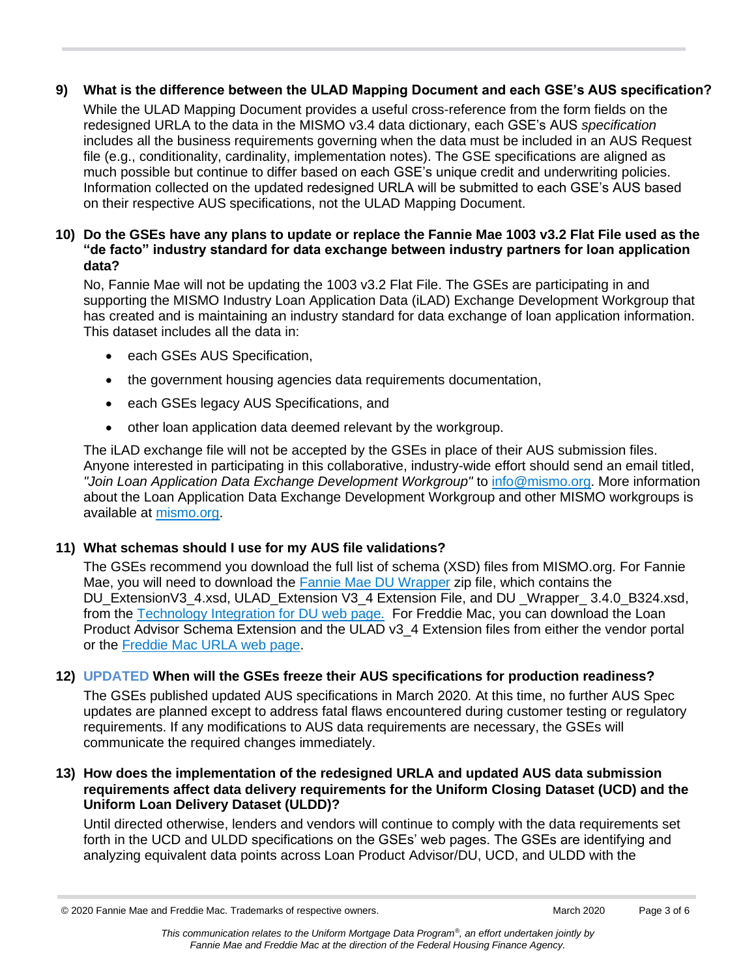#### **9) What is the difference between the ULAD Mapping Document and each GSE's AUS specification?**

While the ULAD Mapping Document provides a useful cross-reference from the form fields on the redesigned URLA to the data in the MISMO v3.4 data dictionary, each GSE's AUS *specification* includes all the business requirements governing when the data must be included in an AUS Request file (e.g., conditionality, cardinality, implementation notes). The GSE specifications are aligned as much possible but continue to differ based on each GSE's unique credit and underwriting policies. Information collected on the updated redesigned URLA will be submitted to each GSE's AUS based on their respective AUS specifications, not the ULAD Mapping Document.

#### **10) Do the GSEs have any plans to update or replace the Fannie Mae 1003 v3.2 Flat File used as the "de facto" industry standard for data exchange between industry partners for loan application data?**

No, Fannie Mae will not be updating the 1003 v3.2 Flat File. The GSEs are participating in and supporting the MISMO Industry Loan Application Data (iLAD) Exchange Development Workgroup that has created and is maintaining an industry standard for data exchange of loan application information. This dataset includes all the data in:

- each GSEs AUS Specification,
- the government housing agencies data requirements documentation,
- each GSEs legacy AUS Specifications, and
- other loan application data deemed relevant by the workgroup.

The iLAD exchange file will not be accepted by the GSEs in place of their AUS submission files. Anyone interested in participating in this collaborative, industry-wide effort should send an email titled, *"Join Loan Application Data Exchange Development Workgroup"* to [info@mismo.org.](mailto:info@mismo.org) More information about the Loan Application Data Exchange Development Workgroup and other MISMO workgroups is available at [mismo.org.](http://mba-pa.informz.net/z/cjUucD9taT03MjkxODA4JnA9MSZ1PTkxMTg5MzM4NCZsaT01NTY2NDM1OA/index.html)

#### **11) What schemas should I use for my AUS file validations?**

The GSEs recommend you download the full list of schema (XSD) files from MISMO.org. For Fannie Mae, you will need to download the [Fannie Mae DU Wrapper](https://www.fanniemae.com/content/tool/ulad-du-schema-extensions.zip) zip file, which contains the DU\_ExtensionV3\_4.xsd, ULAD\_Extension V3\_4 Extension File, and DU\_Wrapper\_ 3.4.0\_B324.xsd, from the [Technology Integration for DU web](https://www.fanniemae.com/singlefamily/technology-integration?taskId=task-97) page. For Freddie Mac, you can download the Loan Product Advisor Schema Extension and the ULAD v3\_4 Extension files from either the vendor portal or the [Freddie Mac URLA web page.](http://www.freddiemac.com/singlefamily/sell/ulad.html)

#### **12) UPDATED When will the GSEs freeze their AUS specifications for production readiness?**

The GSEs published updated AUS specifications in March 2020. At this time, no further AUS Spec updates are planned except to address fatal flaws encountered during customer testing or regulatory requirements. If any modifications to AUS data requirements are necessary, the GSEs will communicate the required changes immediately.

#### **13) How does the implementation of the redesigned URLA and updated AUS data submission requirements affect data delivery requirements for the Uniform Closing Dataset (UCD) and the Uniform Loan Delivery Dataset (ULDD)?**

Until directed otherwise, lenders and vendors will continue to comply with the data requirements set forth in the UCD and ULDD specifications on the GSEs' web pages. The GSEs are identifying and analyzing equivalent data points across Loan Product Advisor/DU, UCD, and ULDD with the

<sup>© 2020</sup> Fannie Mae and Freddie Mac. Trademarks of respective owners. Mach 2020 March 2020 Page 3 of 6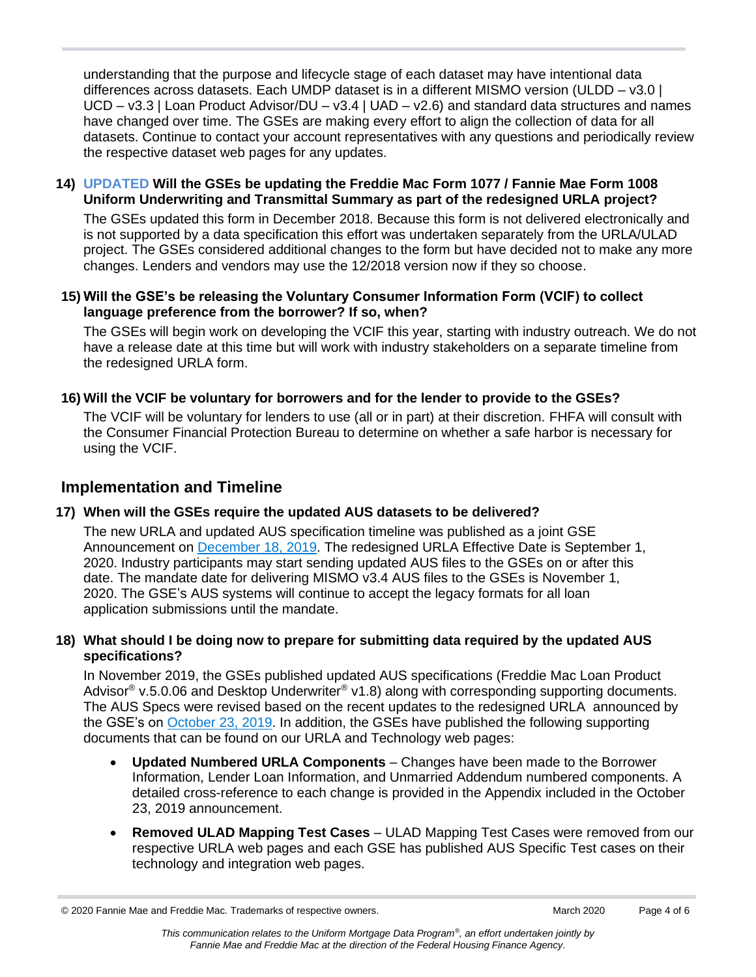understanding that the purpose and lifecycle stage of each dataset may have intentional data differences across datasets. Each UMDP dataset is in a different MISMO version (ULDD – v3.0 |  $UCD - v3.3$  | Loan Product Advisor/ $DU - v3.4$  | UAD –  $v2.6$ ) and standard data structures and names have changed over time. The GSEs are making every effort to align the collection of data for all datasets. Continue to contact your account representatives with any questions and periodically review the respective dataset web pages for any updates.

#### **14) UPDATED Will the GSEs be updating the Freddie Mac Form 1077 / Fannie Mae Form 1008 Uniform Underwriting and Transmittal Summary as part of the redesigned URLA project?**

The GSEs updated this form in December 2018. Because this form is not delivered electronically and is not supported by a data specification this effort was undertaken separately from the URLA/ULAD project. The GSEs considered additional changes to the form but have decided not to make any more changes. Lenders and vendors may use the 12/2018 version now if they so choose.

#### **15) Will the GSE's be releasing the Voluntary Consumer Information Form (VCIF) to collect language preference from the borrower? If so, when?**

The GSEs will begin work on developing the VCIF this year, starting with industry outreach. We do not have a release date at this time but will work with industry stakeholders on a separate timeline from the redesigned URLA form.

#### **16) Will the VCIF be voluntary for borrowers and for the lender to provide to the GSEs?**

The VCIF will be voluntary for lenders to use (all or in part) at their discretion. FHFA will consult with the Consumer Financial Protection Bureau to determine on whether a safe harbor is necessary for using the VCIF.

## **Implementation and Timeline**

## **17) When will the GSEs require the updated AUS datasets to be delivered?**

The new URLA and updated AUS specification timeline was published as a joint GSE Announcement on [December 18, 2019.](https://www.fanniemae.com/content/notification/notification-urla-announcement-december-2019) The redesigned URLA Effective Date is September 1, 2020. Industry participants may start sending updated AUS files to the GSEs on or after this date. The mandate date for delivering MISMO v3.4 AUS files to the GSEs is November 1, 2020. The GSE's AUS systems will continue to accept the legacy formats for all loan application submissions until the mandate.

#### **18) What should I be doing now to prepare for submitting data required by the updated AUS specifications?**

In November 2019, the GSEs published updated AUS specifications (Freddie Mac Loan Product Advisor<sup>®</sup> v.5.0.06 and Desktop Underwriter<sup>®</sup> v1.8) along with corresponding supporting documents. The AUS Specs were revised based on the recent updates to the redesigned URLA announced by the GSE's on [October 23, 2019.](https://www.fanniemae.com/content/notification/notification-urla-announcement-october-2019) In addition, the GSEs have published the following supporting documents that can be found on our URLA and Technology web pages:

- **Updated Numbered URLA Components** Changes have been made to the Borrower Information, Lender Loan Information, and Unmarried Addendum numbered components. A detailed cross-reference to each change is provided in the Appendix included in the October 23, 2019 announcement.
- **Removed ULAD Mapping Test Cases** ULAD Mapping Test Cases were removed from our respective URLA web pages and each GSE has published AUS Specific Test cases on their technology and integration web pages.

© 2020 Fannie Mae and Freddie Mac. Trademarks of respective owners. Mach 2020 March 2020 Page 4 of 6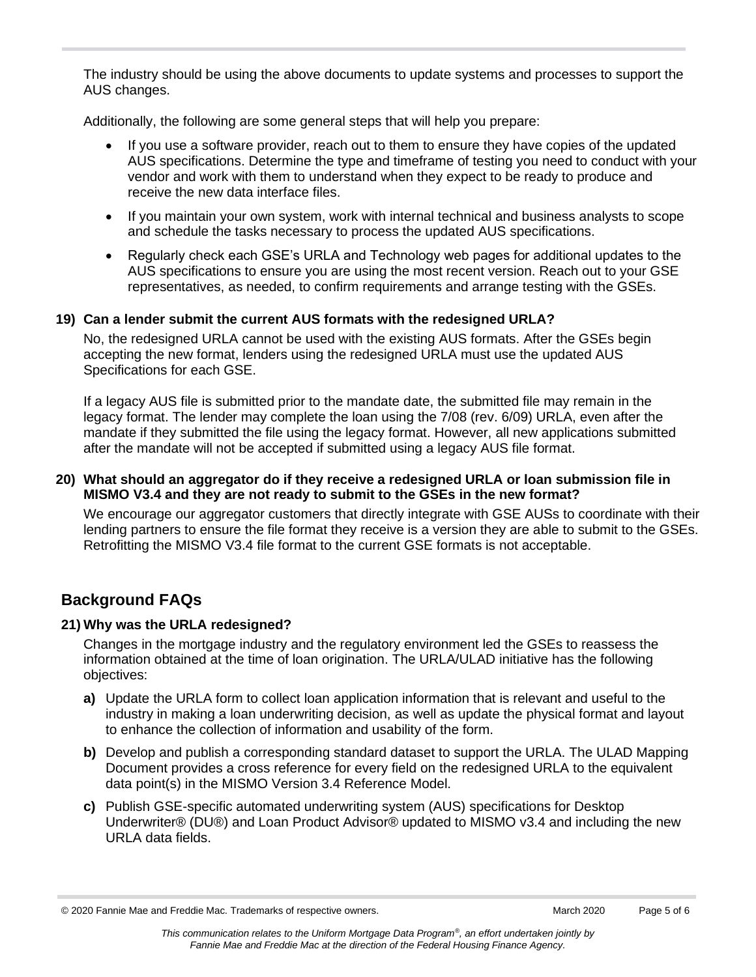The industry should be using the above documents to update systems and processes to support the AUS changes.

Additionally, the following are some general steps that will help you prepare:

- If you use a software provider, reach out to them to ensure they have copies of the updated AUS specifications. Determine the type and timeframe of testing you need to conduct with your vendor and work with them to understand when they expect to be ready to produce and receive the new data interface files.
- If you maintain your own system, work with internal technical and business analysts to scope and schedule the tasks necessary to process the updated AUS specifications.
- Regularly check each GSE's URLA and Technology web pages for additional updates to the AUS specifications to ensure you are using the most recent version. Reach out to your GSE representatives, as needed, to confirm requirements and arrange testing with the GSEs.

## **19) Can a lender submit the current AUS formats with the redesigned URLA?**

No, the redesigned URLA cannot be used with the existing AUS formats. After the GSEs begin accepting the new format, lenders using the redesigned URLA must use the updated AUS Specifications for each GSE.

If a legacy AUS file is submitted prior to the mandate date, the submitted file may remain in the legacy format. The lender may complete the loan using the 7/08 (rev. 6/09) URLA, even after the mandate if they submitted the file using the legacy format. However, all new applications submitted after the mandate will not be accepted if submitted using a legacy AUS file format.

#### **20) What should an aggregator do if they receive a redesigned URLA or loan submission file in MISMO V3.4 and they are not ready to submit to the GSEs in the new format?**

We encourage our aggregator customers that directly integrate with GSE AUSs to coordinate with their lending partners to ensure the file format they receive is a version they are able to submit to the GSEs. Retrofitting the MISMO V3.4 file format to the current GSE formats is not acceptable.

## **Background FAQs**

## **21) Why was the URLA redesigned?**

Changes in the mortgage industry and the regulatory environment led the GSEs to reassess the information obtained at the time of loan origination. The URLA/ULAD initiative has the following objectives:

- **a)** Update the URLA form to collect loan application information that is relevant and useful to the industry in making a loan underwriting decision, as well as update the physical format and layout to enhance the collection of information and usability of the form.
- **b)** Develop and publish a corresponding standard dataset to support the URLA. The ULAD Mapping Document provides a cross reference for every field on the redesigned URLA to the equivalent data point(s) in the MISMO Version 3.4 Reference Model.
- **c)** Publish GSE-specific automated underwriting system (AUS) specifications for Desktop Underwriter® (DU®) and Loan Product Advisor® updated to MISMO v3.4 and including the new URLA data fields.

<sup>© 2020</sup> Fannie Mae and Freddie Mac. Trademarks of respective owners. Mach 2020 March 2020 Page 5 of 6

*This communication relates to the Uniform Mortgage Data Program® , an effort undertaken jointly by Fannie Mae and Freddie Mac at the direction of the Federal Housing Finance Agency.*